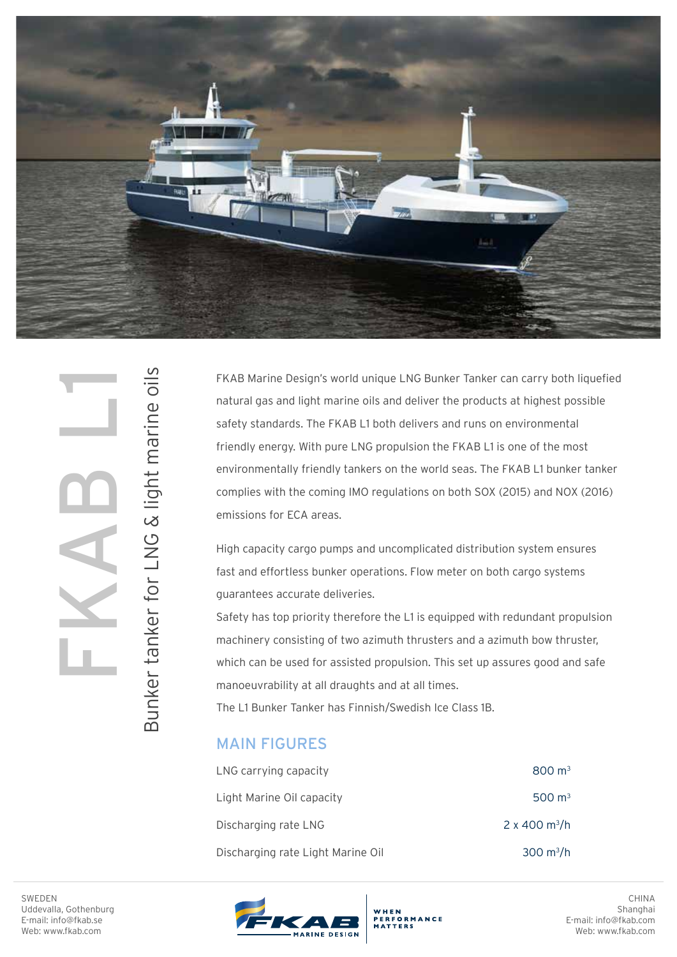

Bunker tanker for LNG & light marine oils

Bunker tanker for LNG & light marine oils

FKAB Marine Design's world unique LNG Bunker Tanker can carry both liquefied natural gas and light marine oils and deliver the products at highest possible safety standards. The FKAB L1 both delivers and runs on environmental friendly energy. With pure LNG propulsion the FKAB L1 is one of the most environmentally friendly tankers on the world seas. The FKAB L1 bunker tanker complies with the coming IMO regulations on both SOX (2015) and NOX (2016) emissions for ECA areas.

High capacity cargo pumps and uncomplicated distribution system ensures fast and effortless bunker operations. Flow meter on both cargo systems guarantees accurate deliveries.

Safety has top priority therefore the L1 is equipped with redundant propulsion machinery consisting of two azimuth thrusters and a azimuth bow thruster, which can be used for assisted propulsion. This set up assures good and safe manoeuvrability at all draughts and at all times.

The L1 Bunker Tanker has Finnish/Swedish Ice Class 1B.

## MAIN FIGURES

| LNG carrying capacity             | $800 \text{ m}^3$         |
|-----------------------------------|---------------------------|
| Light Marine Oil capacity         | 500 $\mathrm{m}^3$        |
| Discharging rate LNG              | 2 x 400 m <sup>3</sup> /h |
| Discharging rate Light Marine Oil | $300 \text{ m}^3/h$       |

WHEN<br>PERFORMANCE

SWEDEN Uddevalla, Gothenburg E-mail: info@fkab.se Web: www.fkab.com



CHINA Shanghai E-mail: info@fkab.com Web: www.fkab.com